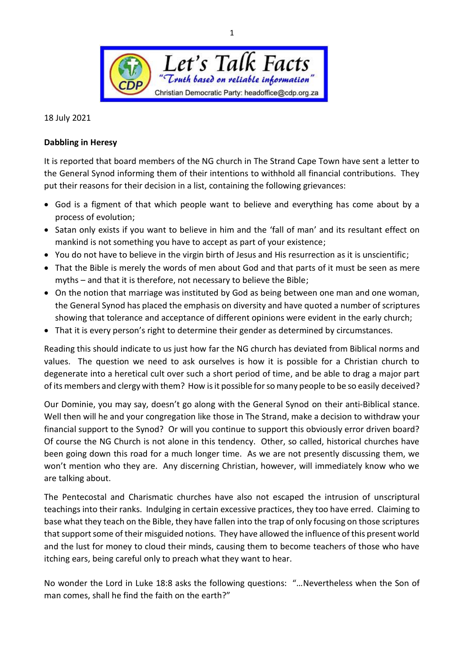

18 July 2021

## **Dabbling in Heresy**

It is reported that board members of the NG church in The Strand Cape Town have sent a letter to the General Synod informing them of their intentions to withhold all financial contributions. They put their reasons for their decision in a list, containing the following grievances:

- God is a figment of that which people want to believe and everything has come about by a process of evolution;
- Satan only exists if you want to believe in him and the 'fall of man' and its resultant effect on mankind is not something you have to accept as part of your existence;
- You do not have to believe in the virgin birth of Jesus and His resurrection as it is unscientific;
- That the Bible is merely the words of men about God and that parts of it must be seen as mere myths – and that it is therefore, not necessary to believe the Bible;
- On the notion that marriage was instituted by God as being between one man and one woman, the General Synod has placed the emphasis on diversity and have quoted a number of scriptures showing that tolerance and acceptance of different opinions were evident in the early church;
- That it is every person's right to determine their gender as determined by circumstances.

Reading this should indicate to us just how far the NG church has deviated from Biblical norms and values. The question we need to ask ourselves is how it is possible for a Christian church to degenerate into a heretical cult over such a short period of time, and be able to drag a major part of its members and clergy with them? How is it possible for so many people to be so easily deceived?

Our Dominie, you may say, doesn't go along with the General Synod on their anti-Biblical stance. Well then will he and your congregation like those in The Strand, make a decision to withdraw your financial support to the Synod? Or will you continue to support this obviously error driven board? Of course the NG Church is not alone in this tendency. Other, so called, historical churches have been going down this road for a much longer time. As we are not presently discussing them, we won't mention who they are. Any discerning Christian, however, will immediately know who we are talking about.

The Pentecostal and Charismatic churches have also not escaped the intrusion of unscriptural teachings into their ranks. Indulging in certain excessive practices, they too have erred. Claiming to base what they teach on the Bible, they have fallen into the trap of only focusing on those scriptures that support some of their misguided notions. They have allowed the influence of this present world and the lust for money to cloud their minds, causing them to become teachers of those who have itching ears, being careful only to preach what they want to hear.

No wonder the Lord in Luke 18:8 asks the following questions: "…Nevertheless when the Son of man comes, shall he find the faith on the earth?"